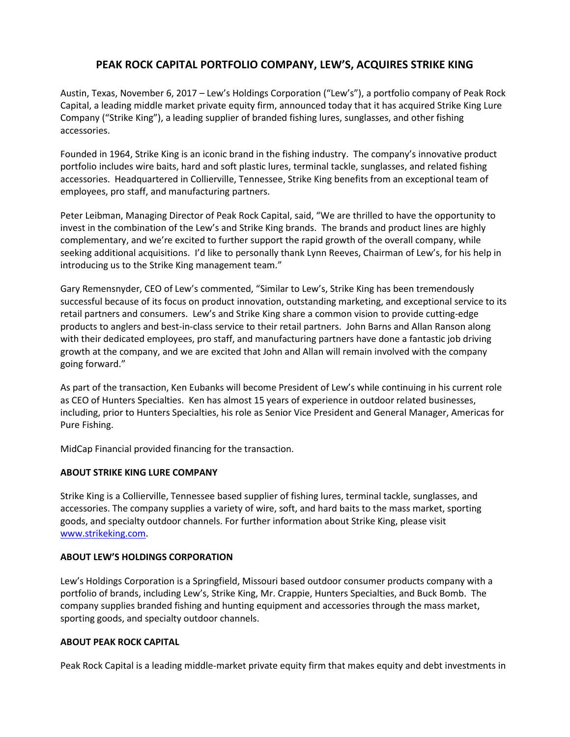## **PEAK ROCK CAPITAL PORTFOLIO COMPANY, LEW'S, ACQUIRES STRIKE KING**

Austin, Texas, November 6, 2017 – Lew's Holdings Corporation ("Lew's"), a portfolio company of Peak Rock Capital, a leading middle market private equity firm, announced today that it has acquired Strike King Lure Company ("Strike King"), a leading supplier of branded fishing lures, sunglasses, and other fishing accessories.

Founded in 1964, Strike King is an iconic brand in the fishing industry. The company's innovative product portfolio includes wire baits, hard and soft plastic lures, terminal tackle, sunglasses, and related fishing accessories. Headquartered in Collierville, Tennessee, Strike King benefits from an exceptional team of employees, pro staff, and manufacturing partners.

Peter Leibman, Managing Director of Peak Rock Capital, said, "We are thrilled to have the opportunity to invest in the combination of the Lew's and Strike King brands. The brands and product lines are highly complementary, and we're excited to further support the rapid growth of the overall company, while seeking additional acquisitions. I'd like to personally thank Lynn Reeves, Chairman of Lew's, for his help in introducing us to the Strike King management team."

Gary Remensnyder, CEO of Lew's commented, "Similar to Lew's, Strike King has been tremendously successful because of its focus on product innovation, outstanding marketing, and exceptional service to its retail partners and consumers. Lew's and Strike King share a common vision to provide cutting-edge products to anglers and best-in-class service to their retail partners. John Barns and Allan Ranson along with their dedicated employees, pro staff, and manufacturing partners have done a fantastic job driving growth at the company, and we are excited that John and Allan will remain involved with the company going forward."

As part of the transaction, Ken Eubanks will become President of Lew's while continuing in his current role as CEO of Hunters Specialties. Ken has almost 15 years of experience in outdoor related businesses, including, prior to Hunters Specialties, his role as Senior Vice President and General Manager, Americas for Pure Fishing.

MidCap Financial provided financing for the transaction.

## **ABOUT STRIKE KING LURE COMPANY**

Strike King is a Collierville, Tennessee based supplier of fishing lures, terminal tackle, sunglasses, and accessories. The company supplies a variety of wire, soft, and hard baits to the mass market, sporting goods, and specialty outdoor channels. For further information about Strike King, please visit [www.strikeking.com.](../AppData/Local/Microsoft/Windows/Temporary%20Internet%20Files/Content.Outlook/HCCKQ2H5/www.strikeking.com)

## **ABOUT LEW'S HOLDINGS CORPORATION**

Lew's Holdings Corporation is a Springfield, Missouri based outdoor consumer products company with a portfolio of brands, including Lew's, Strike King, Mr. Crappie, Hunters Specialties, and Buck Bomb. The company supplies branded fishing and hunting equipment and accessories through the mass market, sporting goods, and specialty outdoor channels.

## **ABOUT PEAK ROCK CAPITAL**

Peak Rock Capital is a leading middle‐market private equity firm that makes equity and debt investments in